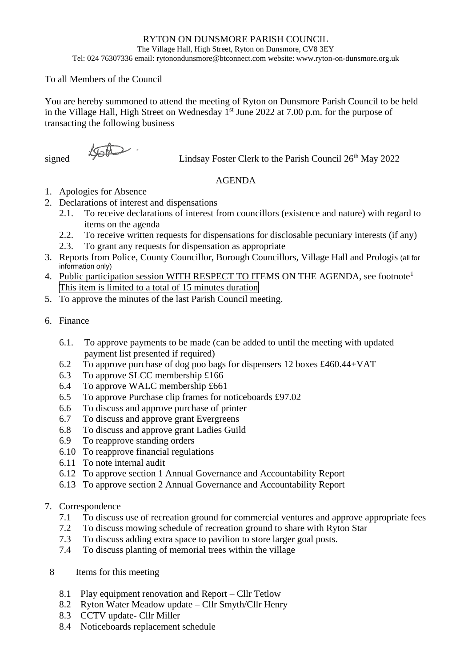## RYTON ON DUNSMORE PARISH COUNCIL

The Village Hall, High Street, Ryton on Dunsmore, CV8 3EY

Tel: 024 76307336 email[: rytonondunsmore@btconnect.com](mailto:rytonondunsmore@btconnect.com) website: www.ryton-on-dunsmore.org.uk

## To all Members of the Council

You are hereby summoned to attend the meeting of Ryton on Dunsmore Parish Council to be held in the Village Hall, High Street on Wednesday 1<sup>st</sup> June 2022 at 7.00 p.m. for the purpose of transacting the following business

signed  $\sqrt{960}$  Lindsay Foster Clerk to the Parish Council 26<sup>th</sup> May 2022

## AGENDA

- 1. Apologies for Absence
- 2. Declarations of interest and dispensations
	- 2.1. To receive declarations of interest from councillors (existence and nature) with regard to items on the agenda
	- 2.2. To receive written requests for dispensations for disclosable pecuniary interests (if any)
	- 2.3. To grant any requests for dispensation as appropriate
- 3. Reports from Police, County Councillor, Borough Councillors, Village Hall and Prologis (all for information only)
- 4. Public participation session WITH RESPECT TO ITEMS ON THE AGENDA, see footnote<sup>1</sup> This item is limited to a total of 15 minutes duration
- 5. To approve the minutes of the last Parish Council meeting.
- 6. Finance
	- 6.1. To approve payments to be made (can be added to until the meeting with updated payment list presented if required)
	- 6.2 To approve purchase of dog poo bags for dispensers 12 boxes £460.44+VAT
	- 6.3 To approve SLCC membership £166
	- 6.4 To approve WALC membership £661
	- 6.5 To approve Purchase clip frames for noticeboards £97.02
	- 6.6 To discuss and approve purchase of printer
	- 6.7 To discuss and approve grant Evergreens
	- 6.8 To discuss and approve grant Ladies Guild
	- 6.9 To reapprove standing orders
	- 6.10 To reapprove financial regulations
	- 6.11 To note internal audit
	- 6.12 To approve section 1 Annual Governance and Accountability Report
	- 6.13 To approve section 2 Annual Governance and Accountability Report

## 7. Correspondence

- 7.1 To discuss use of recreation ground for commercial ventures and approve appropriate fees
- 7.2 To discuss mowing schedule of recreation ground to share with Ryton Star
- 7.3 To discuss adding extra space to pavilion to store larger goal posts.
- 7.4 To discuss planting of memorial trees within the village
- 8 Items for this meeting
	- 8.1 Play equipment renovation and Report Cllr Tetlow
	- 8.2 Ryton Water Meadow update Cllr Smyth/Cllr Henry
	- 8.3 CCTV update- Cllr Miller
	- 8.4 Noticeboards replacement schedule